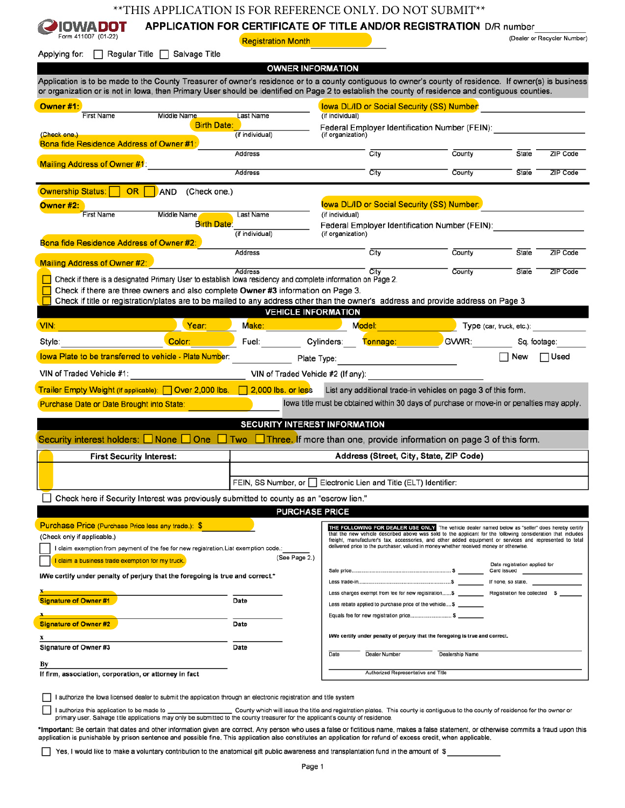## \*\* THIS APPLICATION IS FOR REFERENCE ONLY. DO NOT SUBMIT\*\*

## APPLICATION FOR CERTIFICATE OF TITLE AND/OR REGISTRATION D/R number **IOWA DOT**

Form 411007 (01-22)

**Registration Month** 

(Dealer or Recycler Number)

| $\Box$ Regular Title $\Box$ Salvage Title<br>Applying for:                                                                                                                                                                                                                                                    |                 |                                                                                                                                                                                                                          |                 |                               |                 |
|---------------------------------------------------------------------------------------------------------------------------------------------------------------------------------------------------------------------------------------------------------------------------------------------------------------|-----------------|--------------------------------------------------------------------------------------------------------------------------------------------------------------------------------------------------------------------------|-----------------|-------------------------------|-----------------|
|                                                                                                                                                                                                                                                                                                               |                 | <b>OWNER INFORMATION</b>                                                                                                                                                                                                 |                 |                               |                 |
| Application is to be made to the County Treasurer of owner's residence or to a county contiguous to owner's county of residence. If owner(s) is business<br>or organization or is not in Iowa, then Primary User should be identified on Page 2 to establish the county of residence and contiguous counties. |                 |                                                                                                                                                                                                                          |                 |                               |                 |
| Owner #1:                                                                                                                                                                                                                                                                                                     |                 | <b>Iowa DL/ID or Social Security (SS) Number:</b>                                                                                                                                                                        |                 |                               |                 |
| <b>First Name</b><br>Middle Name                                                                                                                                                                                                                                                                              | Last Name       | (if individual)                                                                                                                                                                                                          |                 |                               |                 |
| <b>Birth Date:</b><br>(Check one.)                                                                                                                                                                                                                                                                            | (if individual) | Federal Employer Identification Number (FEIN):<br>(if organization)                                                                                                                                                      |                 |                               |                 |
| Bona fide Residence Address of Owner #1:                                                                                                                                                                                                                                                                      |                 |                                                                                                                                                                                                                          |                 |                               |                 |
|                                                                                                                                                                                                                                                                                                               | Address         | $\overline{\text{Citv}}$                                                                                                                                                                                                 | County          | State                         | <b>ZIP Code</b> |
| <b>Mailing Address of Owner #1:</b>                                                                                                                                                                                                                                                                           | Address         | City                                                                                                                                                                                                                     | County          | State                         | <b>ZIP Code</b> |
|                                                                                                                                                                                                                                                                                                               |                 |                                                                                                                                                                                                                          |                 |                               |                 |
| Ownership Status: OR<br>AND<br>(Check one.)                                                                                                                                                                                                                                                                   |                 |                                                                                                                                                                                                                          |                 |                               |                 |
| Owner #2:                                                                                                                                                                                                                                                                                                     |                 | lowa DL/ID or Social Security (SS) Number:                                                                                                                                                                               |                 |                               |                 |
| <b>First Name</b><br>Middle Name<br><b>Birth Date:</b>                                                                                                                                                                                                                                                        | Last Name       | (if individual)                                                                                                                                                                                                          |                 |                               |                 |
|                                                                                                                                                                                                                                                                                                               | (if individual) | Federal Employer Identification Number (FEIN):<br>(if organization)                                                                                                                                                      |                 |                               |                 |
| Bona fide Residence Address of Owner #2:                                                                                                                                                                                                                                                                      |                 |                                                                                                                                                                                                                          |                 |                               |                 |
|                                                                                                                                                                                                                                                                                                               | Address         | City                                                                                                                                                                                                                     | County          | State                         | ZIP Code        |
| Mailing Address of Owner #2:                                                                                                                                                                                                                                                                                  | Address         | City                                                                                                                                                                                                                     | County          | State                         | <b>ZIP Code</b> |
| Check if there is a designated Primary User to establish lowa residency and complete information on Page 2.                                                                                                                                                                                                   |                 |                                                                                                                                                                                                                          |                 |                               |                 |
| Check if there are three owners and also complete Owner #3 information on Page 3.                                                                                                                                                                                                                             |                 |                                                                                                                                                                                                                          |                 |                               |                 |
| Check if title or registration/plates are to be mailed to any address other than the owner's address and provide address on Page 3                                                                                                                                                                            |                 | <b>VEHICLE INFORMATION</b>                                                                                                                                                                                               |                 |                               |                 |
|                                                                                                                                                                                                                                                                                                               |                 |                                                                                                                                                                                                                          |                 |                               |                 |
| <u> Martin Martin Martin Martin Martin Martin Martin Martin Martin Martin Martin Martin Martin Martin Martin Martin Ma</u><br>VIN:                                                                                                                                                                            |                 | Make: Model: Model: Model: Model: Model: Model: Model: Model: Model: Model: Model: Model: Model: Model: Model:                                                                                                           |                 | Type (car, truck, etc.):      |                 |
| Color: Participation<br>Style:                                                                                                                                                                                                                                                                                |                 | Fuel: Cylinders: Tonnage: GVWR:                                                                                                                                                                                          |                 | Sq. footage:                  |                 |
| <b>Iowa Plate to be transferred to vehicle - Plate Number:</b>                                                                                                                                                                                                                                                |                 | Plate Type:                                                                                                                                                                                                              |                 | New                           | $\Box$ Used     |
| VIN of Traded Vehicle #1:                                                                                                                                                                                                                                                                                     |                 | VIN of Traded Vehicle #2 (If any):                                                                                                                                                                                       |                 |                               |                 |
|                                                                                                                                                                                                                                                                                                               |                 |                                                                                                                                                                                                                          |                 |                               |                 |
| Trailer Empty Weight (If applicable): □ Over 2,000 lbs. □ 2,000 lbs. or less                                                                                                                                                                                                                                  |                 | List any additional trade-in vehicles on page 3 of this form.                                                                                                                                                            |                 |                               |                 |
| <b>Purchase Date or Date Brought into State:</b>                                                                                                                                                                                                                                                              |                 | lowa title must be obtained within 30 days of purchase or move-in or penalties may apply.                                                                                                                                |                 |                               |                 |
|                                                                                                                                                                                                                                                                                                               |                 | SECURITY INTEREST INFORMATION                                                                                                                                                                                            |                 |                               |                 |
| Security interest holders: $\square$ None $\square$ One $\square$ Two $\square$ Three. If more than one, provide information on page 3 of this form.                                                                                                                                                          |                 |                                                                                                                                                                                                                          |                 |                               |                 |
|                                                                                                                                                                                                                                                                                                               |                 |                                                                                                                                                                                                                          |                 |                               |                 |
| <b>First Security Interest:</b>                                                                                                                                                                                                                                                                               |                 | Address (Street, City, State, ZIP Code)                                                                                                                                                                                  |                 |                               |                 |
|                                                                                                                                                                                                                                                                                                               |                 |                                                                                                                                                                                                                          |                 |                               |                 |
|                                                                                                                                                                                                                                                                                                               |                 | FEIN, SS Number, or Electronic Lien and Title (ELT) Identifier:                                                                                                                                                          |                 |                               |                 |
| Check here if Security Interest was previously submitted to county as an "escrow lien."                                                                                                                                                                                                                       |                 |                                                                                                                                                                                                                          |                 |                               |                 |
|                                                                                                                                                                                                                                                                                                               |                 | <b>PURCHASE PRICE</b>                                                                                                                                                                                                    |                 |                               |                 |
| <b>Purchase Price (Purchase Price less any trade.): \$</b>                                                                                                                                                                                                                                                    |                 | THE FOLLOWING FOR DEALER USE ONLY The vehicle dealer named below as "seller" does hereby certify                                                                                                                         |                 |                               |                 |
| (Check only if applicable.)                                                                                                                                                                                                                                                                                   |                 | that the new vehicle described above was sold to the applicant for the following consideration that includes<br>freight, manufacturer's tax, accessories, and other added equipment or services and represented to total |                 |                               |                 |
| I claim exemption from payment of the fee for new registration. List exemption code.:                                                                                                                                                                                                                         |                 | delivered price to the purchaser, valued in money whether received money or otherwise.                                                                                                                                   |                 |                               |                 |
| I claim a business trade exemption for my truck.                                                                                                                                                                                                                                                              | (See Page 2.)   |                                                                                                                                                                                                                          |                 | Date registration applied for |                 |
| I/We certify under penalty of perjury that the foregoing is true and correct.*                                                                                                                                                                                                                                |                 |                                                                                                                                                                                                                          |                 |                               |                 |
|                                                                                                                                                                                                                                                                                                               |                 |                                                                                                                                                                                                                          |                 | If none, so state.            |                 |
| <b>Signature of Owner#1</b>                                                                                                                                                                                                                                                                                   | Date            | Less charges exempt from fee for new registration \$ ___________ Registration fee collected \$                                                                                                                           |                 |                               |                 |
|                                                                                                                                                                                                                                                                                                               |                 | Less rebate applied to purchase price of the vehicle \$<br>Equals fee for new registration price \$                                                                                                                      |                 |                               |                 |
| <b>Signature of Owner #2</b>                                                                                                                                                                                                                                                                                  | Date            |                                                                                                                                                                                                                          |                 |                               |                 |
|                                                                                                                                                                                                                                                                                                               |                 | I/We certify under penalty of perjury that the foregoing is true and correct.                                                                                                                                            |                 |                               |                 |
| Signature of Owner #3                                                                                                                                                                                                                                                                                         | Date            |                                                                                                                                                                                                                          |                 |                               |                 |
| Вy                                                                                                                                                                                                                                                                                                            |                 | Date<br>Dealer Number                                                                                                                                                                                                    | Dealership Name |                               |                 |
| If firm, association, corporation, or attorney in fact                                                                                                                                                                                                                                                        |                 | Authorized Representative and Title                                                                                                                                                                                      |                 |                               |                 |
|                                                                                                                                                                                                                                                                                                               |                 |                                                                                                                                                                                                                          |                 |                               |                 |
|                                                                                                                                                                                                                                                                                                               |                 |                                                                                                                                                                                                                          |                 |                               |                 |

I authorize this application to be made to

\*Important: Be certain that dates and other information given are correct. Any person who uses a false or fictitious name, makes a false statement, or otherwise commits a fraud upon this application is punishable by prison sentence and possible fine. This application also constitutes an application for refund of excess credit, when applicable.

□ Yes, I would like to make a voluntary contribution to the anatomical gift public awareness and transplantation fund in the amount of \$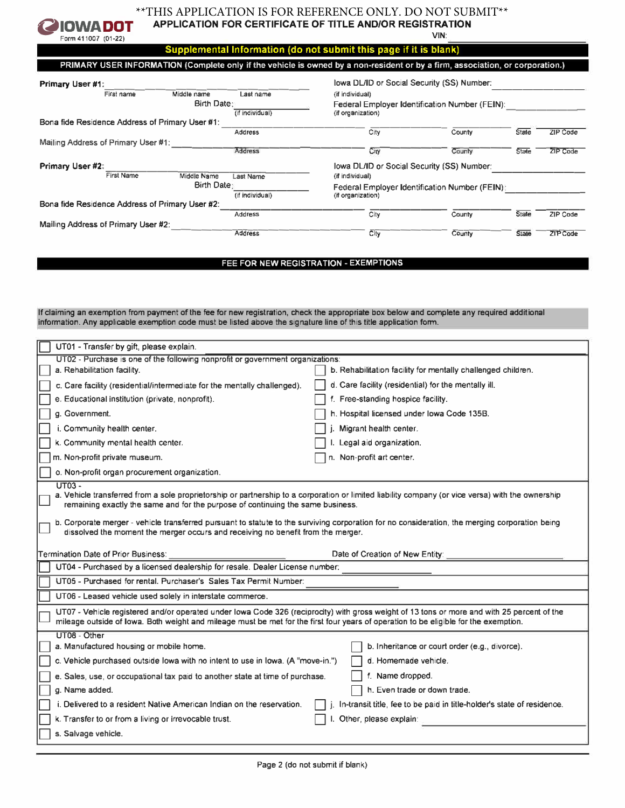

## \*\* THIS APPLICATION IS FOR REFERENCE ONLY. DO NOT SUBMIT\*\* APPLICATION FOR CERTIFICATE OF TITLE AND/OR REGISTRATION

**VIN** 

County

County

**State** 

State

ZIP Code

ZIP Code

Supplemental Information (do not submit this page if it is blank)

PRIMARY USER INFORMATION (Complete only if the vehicle is owned by a non-resident or by a firm, association, or corporation.) lowa DL/ID or Social Security (SS) Number: Primary User #1: First name Middle name Last name (if individual) Birth Date; Federal Employer Identification Number (FEIN): (if individual) (if organization) Bona fide Residence Address of Primary User #1:  $\overline{C}$ ity County State ZIP Code Address Mailing Address of Primary User #1: Address City County State -ZIP Code Primary User #2: lowa DL/ID or Social Security (SS) Number: **First Name** Middle Name Last Name (if individual) **Birth Date:** Federal Employer Identification Number (FEIN); (if individual) (if organization)

| Bona fide Residence Address of Primary User #2: |  |
|-------------------------------------------------|--|
| Mailing Address of Primary User #2:             |  |

FEE FOR NEW REGISTRATION - EXEMPTIONS

 $\overline{City}$ 

 $\overline{\text{City}}$ 

If claiming an exemption from payment of the fee for new registration, check the appropriate box below and complete any required additional information. Any applicable exemption code must be listed above the signature line of this title application form.

Address

**Address** 

| UT01 - Transfer by gift, please explain.                                                                                                                                                                                                                                                                                                                                                           |                                                                        |  |  |
|----------------------------------------------------------------------------------------------------------------------------------------------------------------------------------------------------------------------------------------------------------------------------------------------------------------------------------------------------------------------------------------------------|------------------------------------------------------------------------|--|--|
| UT02 - Purchase is one of the following nonprofit or government organizations:                                                                                                                                                                                                                                                                                                                     |                                                                        |  |  |
| a. Rehabilitation facility.                                                                                                                                                                                                                                                                                                                                                                        | b. Rehabilitation facility for mentally challenged children.           |  |  |
| c. Care facility (residential/intermediate for the mentally challenged).                                                                                                                                                                                                                                                                                                                           | d. Care facility (residential) for the mentally ill.                   |  |  |
| e. Educational institution (private, nonprofit).                                                                                                                                                                                                                                                                                                                                                   | f. Free-standing hospice facility.                                     |  |  |
| g. Government.                                                                                                                                                                                                                                                                                                                                                                                     | h. Hospital licensed under Iowa Code 135B.                             |  |  |
| i. Community health center.                                                                                                                                                                                                                                                                                                                                                                        | Migrant health center.                                                 |  |  |
| k. Community mental health center.                                                                                                                                                                                                                                                                                                                                                                 | I. Legal aid organization.                                             |  |  |
| m. Non-profit private museum.                                                                                                                                                                                                                                                                                                                                                                      | n. Non-profit art center.                                              |  |  |
| o. Non-profit organ procurement organization.                                                                                                                                                                                                                                                                                                                                                      |                                                                        |  |  |
| $UT03 -$<br>a. Vehicle transferred from a sole proprietorship or partnership to a corporation or limited liability company (or vice versa) with the ownership<br>remaining exactly the same and for the purpose of continuing the same business.<br>b. Corporate merger - vehicle transferred pursuant to statute to the surviving corporation for no consideration, the merging corporation being |                                                                        |  |  |
| dissolved the moment the merger occurs and receiving no benefit from the merger.                                                                                                                                                                                                                                                                                                                   |                                                                        |  |  |
| Termination Date of Prior Business:                                                                                                                                                                                                                                                                                                                                                                |                                                                        |  |  |
|                                                                                                                                                                                                                                                                                                                                                                                                    | Date of Creation of New Entity:                                        |  |  |
| UT04 - Purchased by a licensed dealership for resale. Dealer License number:                                                                                                                                                                                                                                                                                                                       |                                                                        |  |  |
| UT05 - Purchased for rental, Purchaser's Sales Tax Permit Number:                                                                                                                                                                                                                                                                                                                                  |                                                                        |  |  |
| UT06 - Leased vehicle used solely in interstate commerce.                                                                                                                                                                                                                                                                                                                                          |                                                                        |  |  |
| UT07 - Vehicle registered and/or operated under lowa Code 326 (reciprocity) with gross weight of 13 tons or more and with 25 percent of the<br>mileage outside of lowa. Both weight and mileage must be met for the first four years of operation to be eligible for the exemption.                                                                                                                |                                                                        |  |  |
| UT08 - Other                                                                                                                                                                                                                                                                                                                                                                                       |                                                                        |  |  |
| a. Manufactured housing or mobile home.                                                                                                                                                                                                                                                                                                                                                            | b. Inheritance or court order (e.g., divorce).                         |  |  |
| c. Vehicle purchased outside lowa with no intent to use in lowa. (A "move-in.")                                                                                                                                                                                                                                                                                                                    | d. Homemade vehicle.                                                   |  |  |
| e. Sales, use, or occupational tax paid to another state at time of purchase.                                                                                                                                                                                                                                                                                                                      | f. Name dropped.                                                       |  |  |
| g. Name added.                                                                                                                                                                                                                                                                                                                                                                                     | h. Even trade or down trade.                                           |  |  |
| i. Delivered to a resident Native American Indian on the reservation.                                                                                                                                                                                                                                                                                                                              | In-transit title, fee to be paid in title-holder's state of residence. |  |  |
| k. Transfer to or from a living or irrevocable trust.                                                                                                                                                                                                                                                                                                                                              | Other, please explain:                                                 |  |  |